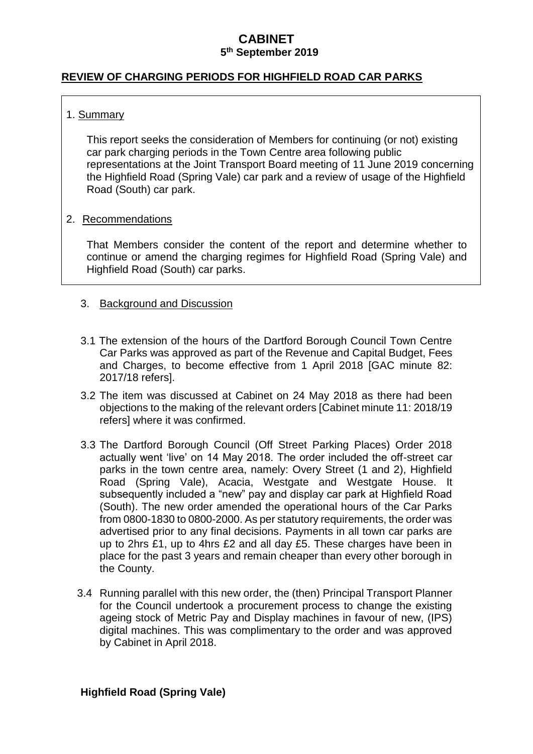### **REVIEW OF CHARGING PERIODS FOR HIGHFIELD ROAD CAR PARKS**

## 1. Summary

This report seeks the consideration of Members for continuing (or not) existing car park charging periods in the Town Centre area following public representations at the Joint Transport Board meeting of 11 June 2019 concerning the Highfield Road (Spring Vale) car park and a review of usage of the Highfield Road (South) car park.

### 2. Recommendations

That Members consider the content of the report and determine whether to continue or amend the charging regimes for Highfield Road (Spring Vale) and Highfield Road (South) car parks.

### 3. Background and Discussion

- 3.1 The extension of the hours of the Dartford Borough Council Town Centre Car Parks was approved as part of the Revenue and Capital Budget, Fees and Charges, to become effective from 1 April 2018 [GAC minute 82: 2017/18 refers].
- 3.2 The item was discussed at Cabinet on 24 May 2018 as there had been objections to the making of the relevant orders [Cabinet minute 11: 2018/19 refers] where it was confirmed.
- 3.3 The Dartford Borough Council (Off Street Parking Places) Order 2018 actually went 'live' on 14 May 2018. The order included the off-street car parks in the town centre area, namely: Overy Street (1 and 2), Highfield Road (Spring Vale), Acacia, Westgate and Westgate House. It subsequently included a "new" pay and display car park at Highfield Road (South). The new order amended the operational hours of the Car Parks from 0800-1830 to 0800-2000. As per statutory requirements, the order was advertised prior to any final decisions. Payments in all town car parks are up to 2hrs £1, up to 4hrs £2 and all day £5. These charges have been in place for the past 3 years and remain cheaper than every other borough in the County.
- 3.4 Running parallel with this new order, the (then) Principal Transport Planner for the Council undertook a procurement process to change the existing ageing stock of Metric Pay and Display machines in favour of new, (IPS) digital machines. This was complimentary to the order and was approved by Cabinet in April 2018.

### **Highfield Road (Spring Vale)**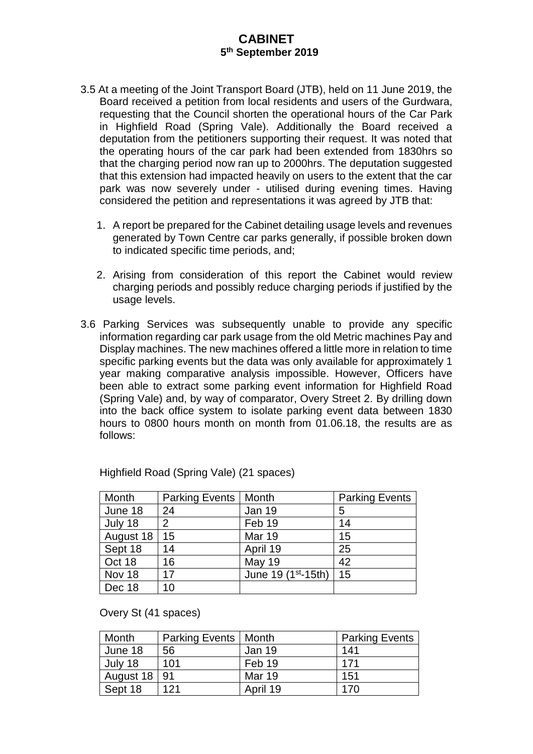- 3.5 At a meeting of the Joint Transport Board (JTB), held on 11 June 2019, the Board received a petition from local residents and users of the Gurdwara, requesting that the Council shorten the operational hours of the Car Park in Highfield Road (Spring Vale). Additionally the Board received a deputation from the petitioners supporting their request. It was noted that the operating hours of the car park had been extended from 1830hrs so that the charging period now ran up to 2000hrs. The deputation suggested that this extension had impacted heavily on users to the extent that the car park was now severely under - utilised during evening times. Having considered the petition and representations it was agreed by JTB that:
	- 1. A report be prepared for the Cabinet detailing usage levels and revenues generated by Town Centre car parks generally, if possible broken down to indicated specific time periods, and;
	- 2. Arising from consideration of this report the Cabinet would review charging periods and possibly reduce charging periods if justified by the usage levels.
- 3.6 Parking Services was subsequently unable to provide any specific information regarding car park usage from the old Metric machines Pay and Display machines. The new machines offered a little more in relation to time specific parking events but the data was only available for approximately 1 year making comparative analysis impossible. However, Officers have been able to extract some parking event information for Highfield Road (Spring Vale) and, by way of comparator, Overy Street 2. By drilling down into the back office system to isolate parking event data between 1830 hours to 0800 hours month on month from 01.06.18, the results are as follows:

| Month     | <b>Parking Events</b> | Month                           | <b>Parking Events</b> |
|-----------|-----------------------|---------------------------------|-----------------------|
| June 18   | 24                    | <b>Jan 19</b>                   | 5                     |
| July 18   | $\mathbf{2}^{\prime}$ | Feb 19                          | 14                    |
| August 18 | 15                    | <b>Mar 19</b>                   | 15                    |
| Sept 18   | 14                    | April 19                        | 25                    |
| Oct 18    | 16                    | <b>May 19</b>                   | 42                    |
| Nov 18    | 17                    | June 19 (1 <sup>st</sup> -15th) | 15                    |
| Dec 18    | 10                    |                                 |                       |

Highfield Road (Spring Vale) (21 spaces)

Overy St (41 spaces)

| Month          | Parking Events   Month |          | <b>Parking Events</b> |
|----------------|------------------------|----------|-----------------------|
| June 18        | 56                     | Jan 19   | 141                   |
| July 18        | 101                    | Feb 19   | 171                   |
| August 18   91 |                        | Mar 19   | 151                   |
| Sept 18        | 121                    | April 19 | 170                   |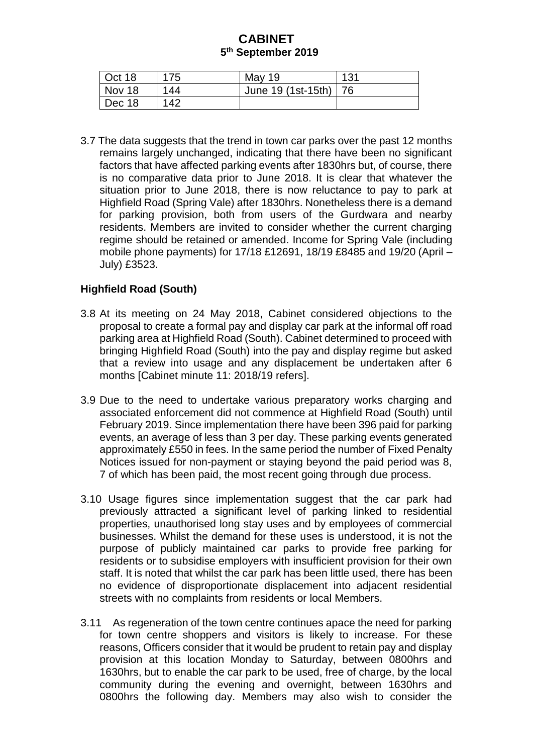| $\vert$ Oct 18 | 175 | May 19                  | 131 |
|----------------|-----|-------------------------|-----|
| Nov 18         | 144 | June 19 (1st-15th)   76 |     |
| $\vert$ Dec 18 | 142 |                         |     |

3.7 The data suggests that the trend in town car parks over the past 12 months remains largely unchanged, indicating that there have been no significant factors that have affected parking events after 1830hrs but, of course, there is no comparative data prior to June 2018. It is clear that whatever the situation prior to June 2018, there is now reluctance to pay to park at Highfield Road (Spring Vale) after 1830hrs. Nonetheless there is a demand for parking provision, both from users of the Gurdwara and nearby residents. Members are invited to consider whether the current charging regime should be retained or amended. Income for Spring Vale (including mobile phone payments) for 17/18 £12691, 18/19 £8485 and 19/20 (April – July) £3523.

## **Highfield Road (South)**

- 3.8 At its meeting on 24 May 2018, Cabinet considered objections to the proposal to create a formal pay and display car park at the informal off road parking area at Highfield Road (South). Cabinet determined to proceed with bringing Highfield Road (South) into the pay and display regime but asked that a review into usage and any displacement be undertaken after 6 months [Cabinet minute 11: 2018/19 refers].
- 3.9 Due to the need to undertake various preparatory works charging and associated enforcement did not commence at Highfield Road (South) until February 2019. Since implementation there have been 396 paid for parking events, an average of less than 3 per day. These parking events generated approximately £550 in fees. In the same period the number of Fixed Penalty Notices issued for non-payment or staying beyond the paid period was 8, 7 of which has been paid, the most recent going through due process.
- 3.10 Usage figures since implementation suggest that the car park had previously attracted a significant level of parking linked to residential properties, unauthorised long stay uses and by employees of commercial businesses. Whilst the demand for these uses is understood, it is not the purpose of publicly maintained car parks to provide free parking for residents or to subsidise employers with insufficient provision for their own staff. It is noted that whilst the car park has been little used, there has been no evidence of disproportionate displacement into adjacent residential streets with no complaints from residents or local Members.
- 3.11 As regeneration of the town centre continues apace the need for parking for town centre shoppers and visitors is likely to increase. For these reasons, Officers consider that it would be prudent to retain pay and display provision at this location Monday to Saturday, between 0800hrs and 1630hrs, but to enable the car park to be used, free of charge, by the local community during the evening and overnight, between 1630hrs and 0800hrs the following day. Members may also wish to consider the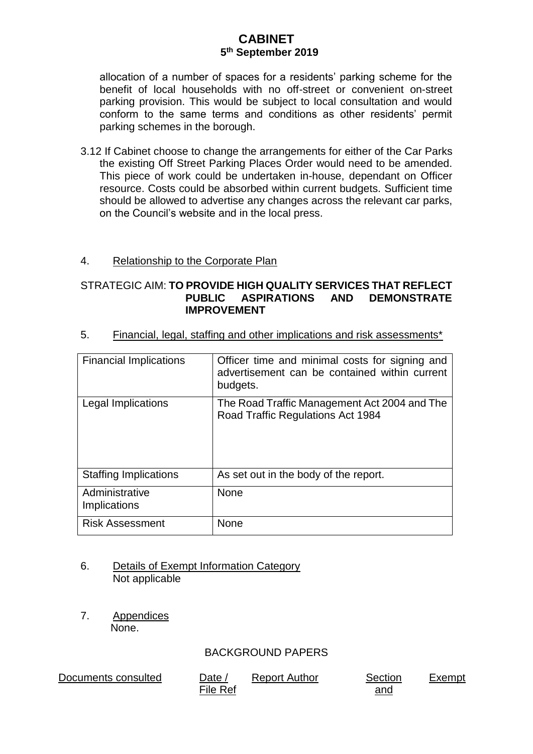allocation of a number of spaces for a residents' parking scheme for the benefit of local households with no off-street or convenient on-street parking provision. This would be subject to local consultation and would conform to the same terms and conditions as other residents' permit parking schemes in the borough.

3.12 If Cabinet choose to change the arrangements for either of the Car Parks the existing Off Street Parking Places Order would need to be amended. This piece of work could be undertaken in-house, dependant on Officer resource. Costs could be absorbed within current budgets. Sufficient time should be allowed to advertise any changes across the relevant car parks, on the Council's website and in the local press.

#### 4. Relationship to the Corporate Plan

#### STRATEGIC AIM: **TO PROVIDE HIGH QUALITY SERVICES THAT REFLECT PUBLIC ASPIRATIONS AND DEMONSTRATE IMPROVEMENT**

| <b>Financial Implications</b>  | Officer time and minimal costs for signing and<br>advertisement can be contained within current<br>budgets. |
|--------------------------------|-------------------------------------------------------------------------------------------------------------|
| Legal Implications             | The Road Traffic Management Act 2004 and The<br>Road Traffic Regulations Act 1984                           |
| <b>Staffing Implications</b>   | As set out in the body of the report.                                                                       |
| Administrative<br>Implications | <b>None</b>                                                                                                 |
| <b>Risk Assessment</b>         | None                                                                                                        |

5. Financial, legal, staffing and other implications and risk assessments\*

- 6. Details of Exempt Information Category Not applicable
- 7. Appendices None.

### BACKGROUND PAPERS

Documents consulted Date /

File Ref Report Author Section

and

Exempt